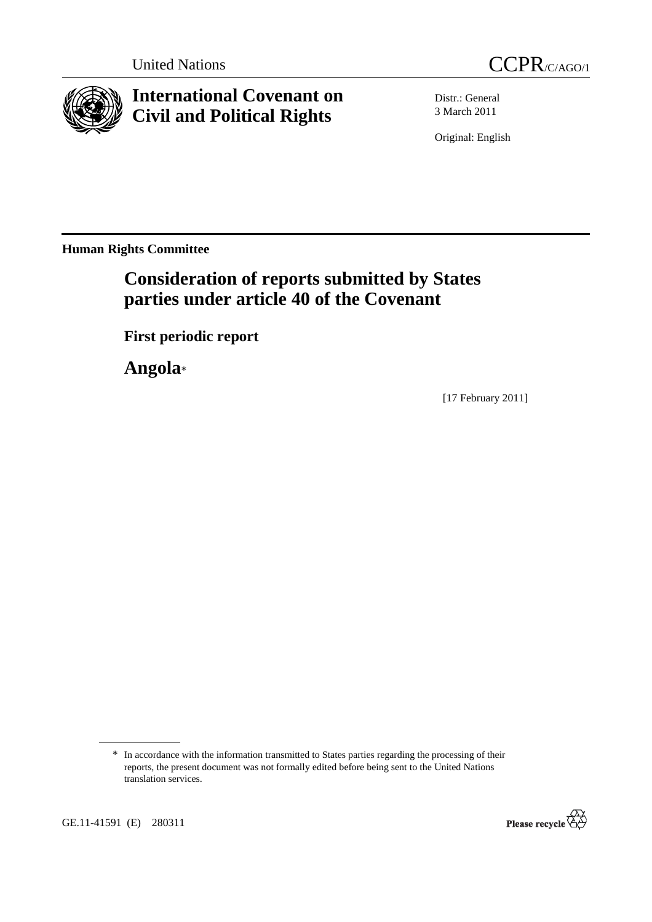



# **International Covenant on Civil and Political Rights**

Distr.: General 3 March 2011

Original: English

**Human Rights Committee** 

# **Consideration of reports submitted by States parties under article 40 of the Covenant**

 **First periodic report** 

 **Angola**\*

[17 February 2011]



<sup>\*</sup> In accordance with the information transmitted to States parties regarding the processing of their reports, the present document was not formally edited before being sent to the United Nations translation services.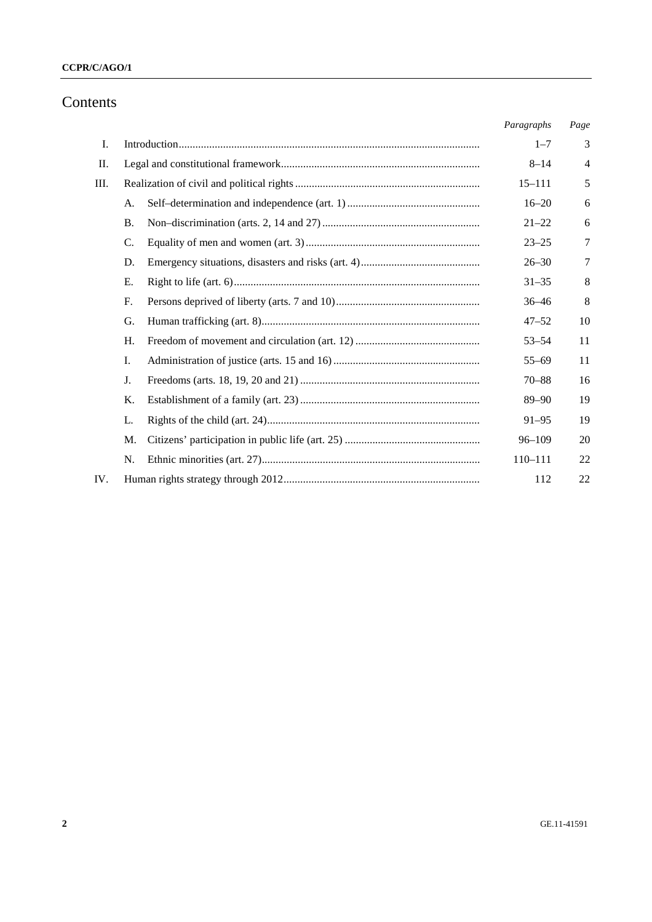## **CCPR/C/AGO/1**

# Contents

|     |           | Paragraphs | Page |
|-----|-----------|------------|------|
| I.  |           | $1 - 7$    | 3    |
| П.  |           | $8 - 14$   | 4    |
| Ш.  |           | $15 - 111$ | 5    |
|     | A.        | $16 - 20$  | 6    |
|     | <b>B.</b> | $21 - 22$  | 6    |
|     | C.        | $23 - 25$  | 7    |
|     | D.        | $26 - 30$  | 7    |
|     | Е.        | $31 - 35$  | 8    |
|     | F.        | $36 - 46$  | 8    |
|     | G.        | $47 - 52$  | 10   |
|     | H.        | $53 - 54$  | 11   |
|     | Ι.        | $55 - 69$  | 11   |
|     | J.        | $70 - 88$  | 16   |
|     | Κ.        | $89 - 90$  | 19   |
|     | L.        | $91 - 95$  | 19   |
|     | M.        | $96 - 109$ | 20   |
|     | N.        | 110-111    | 22   |
| IV. |           | 112        | 22   |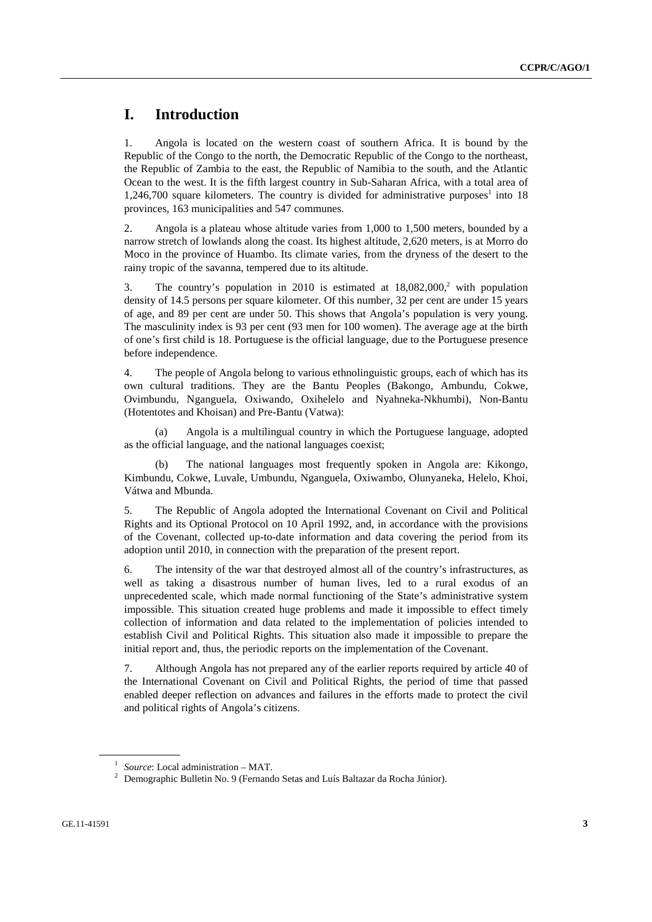# **I. Introduction**

1. Angola is located on the western coast of southern Africa. It is bound by the Republic of the Congo to the north, the Democratic Republic of the Congo to the northeast, the Republic of Zambia to the east, the Republic of Namibia to the south, and the Atlantic Ocean to the west. It is the fifth largest country in Sub-Saharan Africa, with a total area of  $1,246,700$  square kilometers. The country is divided for administrative purposes<sup>1</sup> into 18 provinces, 163 municipalities and 547 communes.

2. Angola is a plateau whose altitude varies from 1,000 to 1,500 meters, bounded by a narrow stretch of lowlands along the coast. Its highest altitude, 2,620 meters, is at Morro do Moco in the province of Huambo. Its climate varies, from the dryness of the desert to the rainy tropic of the savanna, tempered due to its altitude.

3. The country's population in 2010 is estimated at  $18,082,000$ , with population density of 14.5 persons per square kilometer. Of this number, 32 per cent are under 15 years of age, and 89 per cent are under 50. This shows that Angola's population is very young. The masculinity index is 93 per cent (93 men for 100 women). The average age at the birth of one's first child is 18. Portuguese is the official language, due to the Portuguese presence before independence.

4. The people of Angola belong to various ethnolinguistic groups, each of which has its own cultural traditions. They are the Bantu Peoples (Bakongo, Ambundu, Cokwe, Ovimbundu, Nganguela, Oxiwando, Oxihelelo and Nyahneka-Nkhumbi), Non-Bantu (Hotentotes and Khoisan) and Pre-Bantu (Vatwa):

 (a) Angola is a multilingual country in which the Portuguese language, adopted as the official language, and the national languages coexist;

 (b) The national languages most frequently spoken in Angola are: Kikongo, Kimbundu, Cokwe, Luvale, Umbundu, Nganguela, Oxiwambo, Olunyaneka, Helelo, Khoi, Vátwa and Mbunda.

5. The Republic of Angola adopted the International Covenant on Civil and Political Rights and its Optional Protocol on 10 April 1992, and, in accordance with the provisions of the Covenant, collected up-to-date information and data covering the period from its adoption until 2010, in connection with the preparation of the present report.

6. The intensity of the war that destroyed almost all of the country's infrastructures, as well as taking a disastrous number of human lives, led to a rural exodus of an unprecedented scale, which made normal functioning of the State's administrative system impossible. This situation created huge problems and made it impossible to effect timely collection of information and data related to the implementation of policies intended to establish Civil and Political Rights. This situation also made it impossible to prepare the initial report and, thus, the periodic reports on the implementation of the Covenant.

7. Although Angola has not prepared any of the earlier reports required by article 40 of the International Covenant on Civil and Political Rights, the period of time that passed enabled deeper reflection on advances and failures in the efforts made to protect the civil and political rights of Angola's citizens.

<sup>&</sup>lt;sup>1</sup> *Source*: Local administration – MAT.

<sup>&</sup>lt;sup>2</sup> Demographic Bulletin No. 9 (Fernando Setas and Luís Baltazar da Rocha Júnior).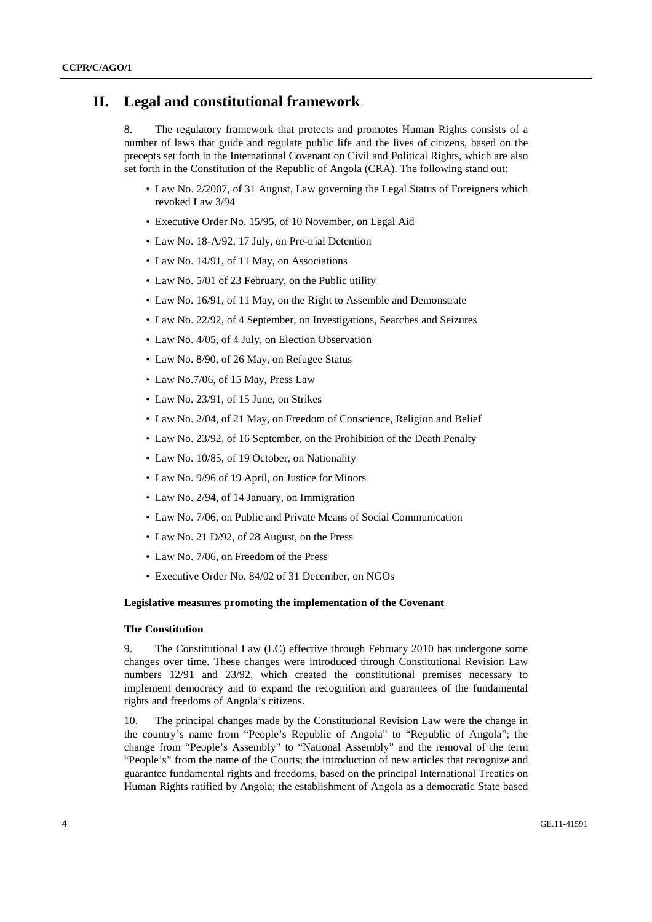## **II. Legal and constitutional framework**

8. The regulatory framework that protects and promotes Human Rights consists of a number of laws that guide and regulate public life and the lives of citizens, based on the precepts set forth in the International Covenant on Civil and Political Rights, which are also set forth in the Constitution of the Republic of Angola (CRA). The following stand out:

- Law No. 2/2007, of 31 August, Law governing the Legal Status of Foreigners which revoked Law 3/94
- Executive Order No. 15/95, of 10 November, on Legal Aid
- Law No. 18-A/92, 17 July, on Pre-trial Detention
- Law No. 14/91, of 11 May, on Associations
- Law No. 5/01 of 23 February, on the Public utility
- Law No. 16/91, of 11 May, on the Right to Assemble and Demonstrate
- Law No. 22/92, of 4 September, on Investigations, Searches and Seizures
- Law No. 4/05, of 4 July, on Election Observation
- Law No. 8/90, of 26 May, on Refugee Status
- Law No.7/06, of 15 May, Press Law
- Law No. 23/91, of 15 June, on Strikes
- Law No. 2/04, of 21 May, on Freedom of Conscience, Religion and Belief
- Law No. 23/92, of 16 September, on the Prohibition of the Death Penalty
- Law No. 10/85, of 19 October, on Nationality
- Law No. 9/96 of 19 April, on Justice for Minors
- Law No. 2/94, of 14 January, on Immigration
- Law No. 7/06, on Public and Private Means of Social Communication
- Law No. 21 D/92, of 28 August, on the Press
- Law No. 7/06, on Freedom of the Press
- Executive Order No. 84/02 of 31 December, on NGOs

#### **Legislative measures promoting the implementation of the Covenant**

#### **The Constitution**

9. The Constitutional Law (LC) effective through February 2010 has undergone some changes over time. These changes were introduced through Constitutional Revision Law numbers 12/91 and 23/92, which created the constitutional premises necessary to implement democracy and to expand the recognition and guarantees of the fundamental rights and freedoms of Angola's citizens.

10. The principal changes made by the Constitutional Revision Law were the change in the country's name from "People's Republic of Angola" to "Republic of Angola"; the change from "People's Assembly" to "National Assembly" and the removal of the term "People's" from the name of the Courts; the introduction of new articles that recognize and guarantee fundamental rights and freedoms, based on the principal International Treaties on Human Rights ratified by Angola; the establishment of Angola as a democratic State based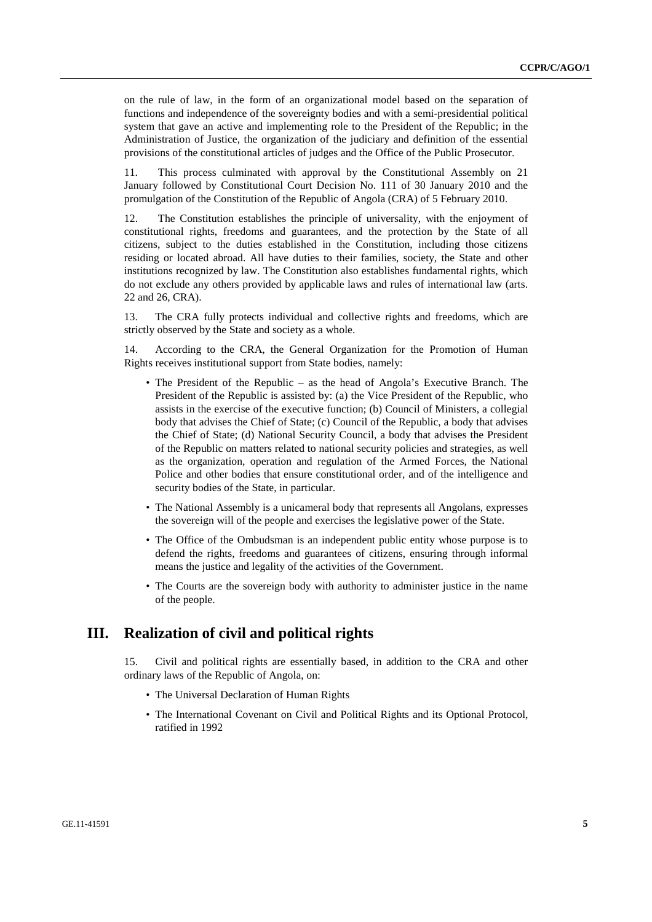on the rule of law, in the form of an organizational model based on the separation of functions and independence of the sovereignty bodies and with a semi-presidential political system that gave an active and implementing role to the President of the Republic; in the Administration of Justice, the organization of the judiciary and definition of the essential provisions of the constitutional articles of judges and the Office of the Public Prosecutor.

11. This process culminated with approval by the Constitutional Assembly on 21 January followed by Constitutional Court Decision No. 111 of 30 January 2010 and the promulgation of the Constitution of the Republic of Angola (CRA) of 5 February 2010.

12. The Constitution establishes the principle of universality, with the enjoyment of constitutional rights, freedoms and guarantees, and the protection by the State of all citizens, subject to the duties established in the Constitution, including those citizens residing or located abroad. All have duties to their families, society, the State and other institutions recognized by law. The Constitution also establishes fundamental rights, which do not exclude any others provided by applicable laws and rules of international law (arts. 22 and 26, CRA).

13. The CRA fully protects individual and collective rights and freedoms, which are strictly observed by the State and society as a whole.

14. According to the CRA, the General Organization for the Promotion of Human Rights receives institutional support from State bodies, namely:

- The President of the Republic as the head of Angola's Executive Branch. The President of the Republic is assisted by: (a) the Vice President of the Republic, who assists in the exercise of the executive function; (b) Council of Ministers, a collegial body that advises the Chief of State; (c) Council of the Republic, a body that advises the Chief of State; (d) National Security Council, a body that advises the President of the Republic on matters related to national security policies and strategies, as well as the organization, operation and regulation of the Armed Forces, the National Police and other bodies that ensure constitutional order, and of the intelligence and security bodies of the State, in particular.
- The National Assembly is a unicameral body that represents all Angolans, expresses the sovereign will of the people and exercises the legislative power of the State.
- The Office of the Ombudsman is an independent public entity whose purpose is to defend the rights, freedoms and guarantees of citizens, ensuring through informal means the justice and legality of the activities of the Government.
- The Courts are the sovereign body with authority to administer justice in the name of the people.

## **III. Realization of civil and political rights**

15. Civil and political rights are essentially based, in addition to the CRA and other ordinary laws of the Republic of Angola, on:

- The Universal Declaration of Human Rights
- The International Covenant on Civil and Political Rights and its Optional Protocol, ratified in 1992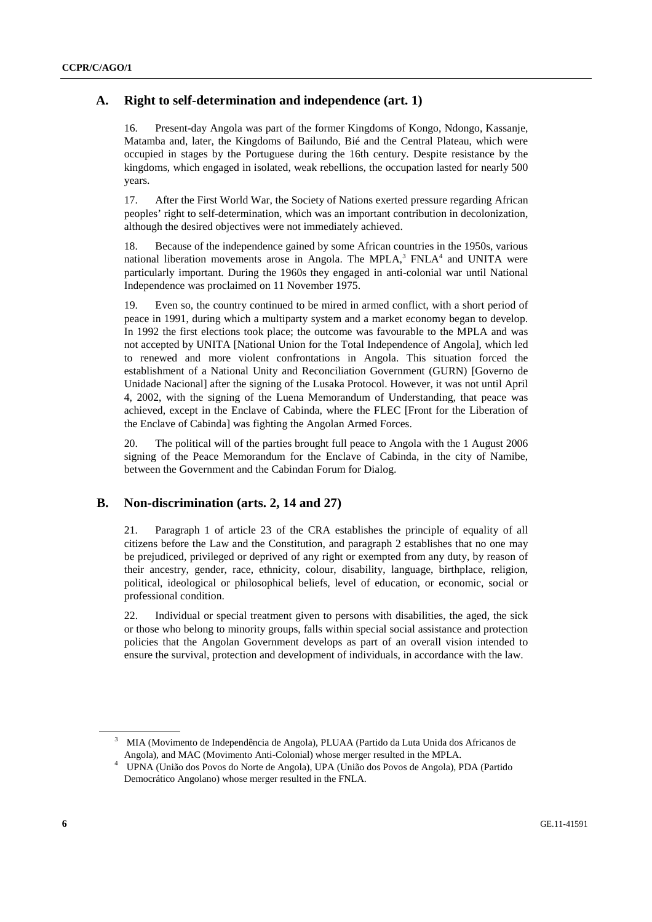## **A. Right to self-determination and independence (art. 1)**

16. Present-day Angola was part of the former Kingdoms of Kongo, Ndongo, Kassanje, Matamba and, later, the Kingdoms of Bailundo, Bié and the Central Plateau, which were occupied in stages by the Portuguese during the 16th century. Despite resistance by the kingdoms, which engaged in isolated, weak rebellions, the occupation lasted for nearly 500 years.

17. After the First World War, the Society of Nations exerted pressure regarding African peoples' right to self-determination, which was an important contribution in decolonization, although the desired objectives were not immediately achieved.

18. Because of the independence gained by some African countries in the 1950s, various national liberation movements arose in Angola. The MPLA, $3$  FNLA $4$  and UNITA were particularly important. During the 1960s they engaged in anti-colonial war until National Independence was proclaimed on 11 November 1975.

19. Even so, the country continued to be mired in armed conflict, with a short period of peace in 1991, during which a multiparty system and a market economy began to develop. In 1992 the first elections took place; the outcome was favourable to the MPLA and was not accepted by UNITA [National Union for the Total Independence of Angola], which led to renewed and more violent confrontations in Angola. This situation forced the establishment of a National Unity and Reconciliation Government (GURN) [Governo de Unidade Nacional] after the signing of the Lusaka Protocol. However, it was not until April 4, 2002, with the signing of the Luena Memorandum of Understanding, that peace was achieved, except in the Enclave of Cabinda, where the FLEC [Front for the Liberation of the Enclave of Cabinda] was fighting the Angolan Armed Forces.

20. The political will of the parties brought full peace to Angola with the 1 August 2006 signing of the Peace Memorandum for the Enclave of Cabinda, in the city of Namibe, between the Government and the Cabindan Forum for Dialog.

## **B. Non-discrimination (arts. 2, 14 and 27)**

21. Paragraph 1 of article 23 of the CRA establishes the principle of equality of all citizens before the Law and the Constitution, and paragraph 2 establishes that no one may be prejudiced, privileged or deprived of any right or exempted from any duty, by reason of their ancestry, gender, race, ethnicity, colour, disability, language, birthplace, religion, political, ideological or philosophical beliefs, level of education, or economic, social or professional condition.

22. Individual or special treatment given to persons with disabilities, the aged, the sick or those who belong to minority groups, falls within special social assistance and protection policies that the Angolan Government develops as part of an overall vision intended to ensure the survival, protection and development of individuals, in accordance with the law.

<sup>&</sup>lt;sup>3</sup> MIA (Movimento de Independência de Angola), PLUAA (Partido da Luta Unida dos Africanos de

Angola), and MAC (Movimento Anti-Colonial) whose merger resulted in the MPLA. 4 UPNA (União dos Povos do Norte de Angola), UPA (União dos Povos de Angola), PDA (Partido Democrático Angolano) whose merger resulted in the FNLA.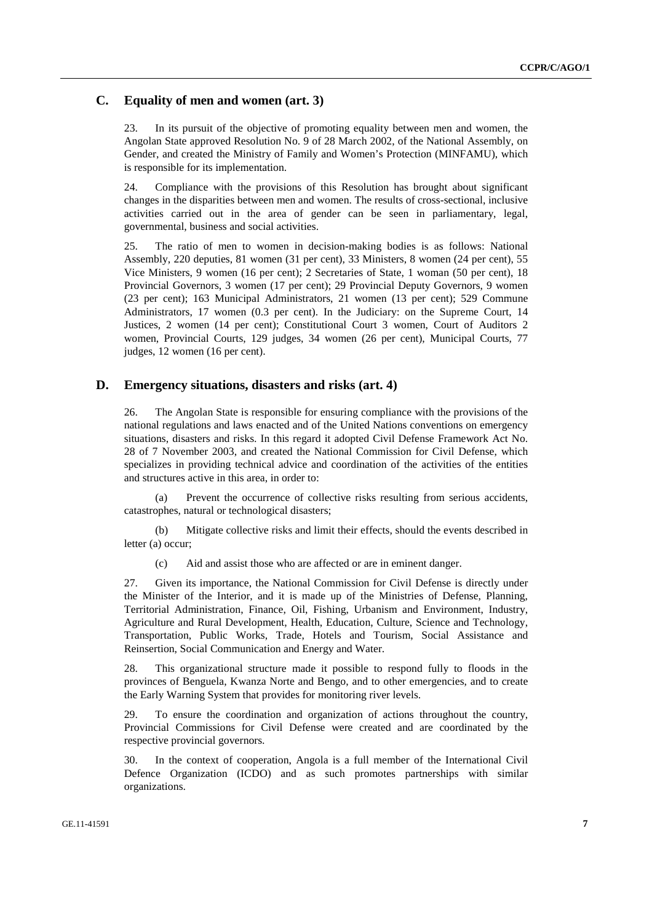## **C. Equality of men and women (art. 3)**

23. In its pursuit of the objective of promoting equality between men and women, the Angolan State approved Resolution No. 9 of 28 March 2002, of the National Assembly, on Gender, and created the Ministry of Family and Women's Protection (MINFAMU), which is responsible for its implementation.

24. Compliance with the provisions of this Resolution has brought about significant changes in the disparities between men and women. The results of cross-sectional, inclusive activities carried out in the area of gender can be seen in parliamentary, legal, governmental, business and social activities.

25. The ratio of men to women in decision-making bodies is as follows: National Assembly, 220 deputies, 81 women (31 per cent), 33 Ministers, 8 women (24 per cent), 55 Vice Ministers, 9 women (16 per cent); 2 Secretaries of State, 1 woman (50 per cent), 18 Provincial Governors, 3 women (17 per cent); 29 Provincial Deputy Governors, 9 women (23 per cent); 163 Municipal Administrators, 21 women (13 per cent); 529 Commune Administrators, 17 women (0.3 per cent). In the Judiciary: on the Supreme Court, 14 Justices, 2 women (14 per cent); Constitutional Court 3 women, Court of Auditors 2 women, Provincial Courts, 129 judges, 34 women (26 per cent), Municipal Courts, 77 judges, 12 women (16 per cent).

### **D. Emergency situations, disasters and risks (art. 4)**

26. The Angolan State is responsible for ensuring compliance with the provisions of the national regulations and laws enacted and of the United Nations conventions on emergency situations, disasters and risks. In this regard it adopted Civil Defense Framework Act No. 28 of 7 November 2003, and created the National Commission for Civil Defense, which specializes in providing technical advice and coordination of the activities of the entities and structures active in this area, in order to:

 (a) Prevent the occurrence of collective risks resulting from serious accidents, catastrophes, natural or technological disasters;

 (b) Mitigate collective risks and limit their effects, should the events described in letter (a) occur;

(c) Aid and assist those who are affected or are in eminent danger.

27. Given its importance, the National Commission for Civil Defense is directly under the Minister of the Interior, and it is made up of the Ministries of Defense, Planning, Territorial Administration, Finance, Oil, Fishing, Urbanism and Environment, Industry, Agriculture and Rural Development, Health, Education, Culture, Science and Technology, Transportation, Public Works, Trade, Hotels and Tourism, Social Assistance and Reinsertion, Social Communication and Energy and Water.

28. This organizational structure made it possible to respond fully to floods in the provinces of Benguela, Kwanza Norte and Bengo, and to other emergencies, and to create the Early Warning System that provides for monitoring river levels.

29. To ensure the coordination and organization of actions throughout the country, Provincial Commissions for Civil Defense were created and are coordinated by the respective provincial governors.

30. In the context of cooperation, Angola is a full member of the International Civil Defence Organization (ICDO) and as such promotes partnerships with similar organizations.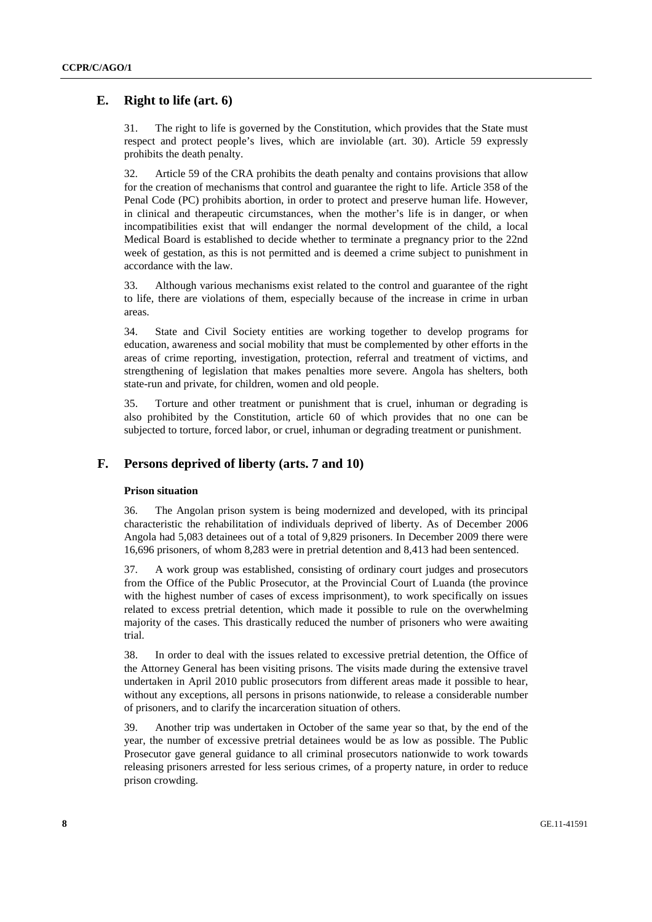## **E. Right to life (art. 6)**

31. The right to life is governed by the Constitution, which provides that the State must respect and protect people's lives, which are inviolable (art. 30). Article 59 expressly prohibits the death penalty.

32. Article 59 of the CRA prohibits the death penalty and contains provisions that allow for the creation of mechanisms that control and guarantee the right to life. Article 358 of the Penal Code (PC) prohibits abortion, in order to protect and preserve human life. However, in clinical and therapeutic circumstances, when the mother's life is in danger, or when incompatibilities exist that will endanger the normal development of the child, a local Medical Board is established to decide whether to terminate a pregnancy prior to the 22nd week of gestation, as this is not permitted and is deemed a crime subject to punishment in accordance with the law.

33. Although various mechanisms exist related to the control and guarantee of the right to life, there are violations of them, especially because of the increase in crime in urban areas.

34. State and Civil Society entities are working together to develop programs for education, awareness and social mobility that must be complemented by other efforts in the areas of crime reporting, investigation, protection, referral and treatment of victims, and strengthening of legislation that makes penalties more severe. Angola has shelters, both state-run and private, for children, women and old people.

35. Torture and other treatment or punishment that is cruel, inhuman or degrading is also prohibited by the Constitution, article 60 of which provides that no one can be subjected to torture, forced labor, or cruel, inhuman or degrading treatment or punishment.

## **F. Persons deprived of liberty (arts. 7 and 10)**

#### **Prison situation**

36. The Angolan prison system is being modernized and developed, with its principal characteristic the rehabilitation of individuals deprived of liberty. As of December 2006 Angola had 5,083 detainees out of a total of 9,829 prisoners. In December 2009 there were 16,696 prisoners, of whom 8,283 were in pretrial detention and 8,413 had been sentenced.

37. A work group was established, consisting of ordinary court judges and prosecutors from the Office of the Public Prosecutor, at the Provincial Court of Luanda (the province with the highest number of cases of excess imprisonment), to work specifically on issues related to excess pretrial detention, which made it possible to rule on the overwhelming majority of the cases. This drastically reduced the number of prisoners who were awaiting trial.

38. In order to deal with the issues related to excessive pretrial detention, the Office of the Attorney General has been visiting prisons. The visits made during the extensive travel undertaken in April 2010 public prosecutors from different areas made it possible to hear, without any exceptions, all persons in prisons nationwide, to release a considerable number of prisoners, and to clarify the incarceration situation of others.

39. Another trip was undertaken in October of the same year so that, by the end of the year, the number of excessive pretrial detainees would be as low as possible. The Public Prosecutor gave general guidance to all criminal prosecutors nationwide to work towards releasing prisoners arrested for less serious crimes, of a property nature, in order to reduce prison crowding.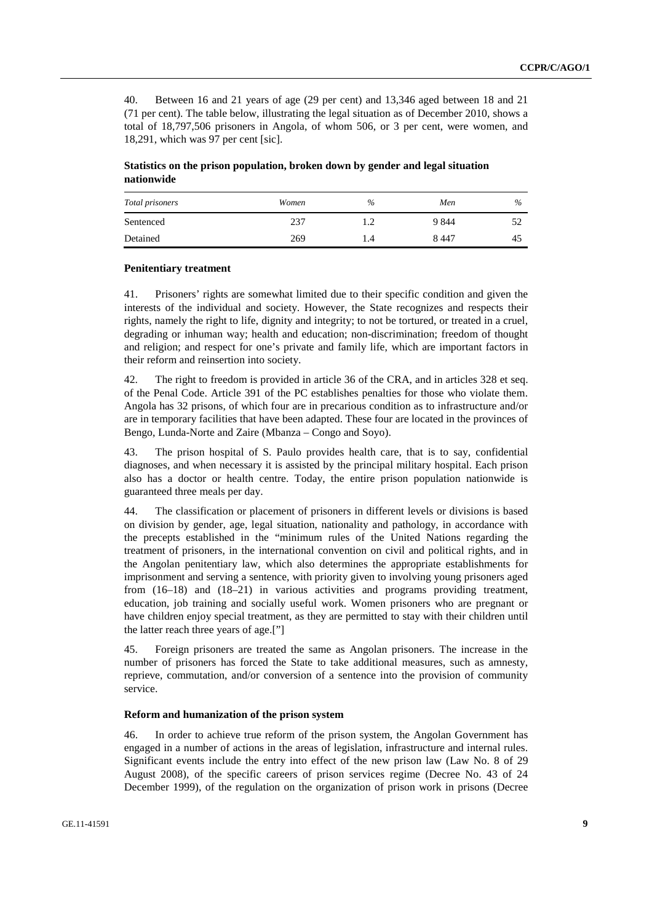40. Between 16 and 21 years of age (29 per cent) and 13,346 aged between 18 and 21 (71 per cent). The table below, illustrating the legal situation as of December 2010, shows a total of 18,797,506 prisoners in Angola, of whom 506, or 3 per cent, were women, and 18,291, which was 97 per cent [sic].

 **Statistics on the prison population, broken down by gender and legal situation nationwide** 

| Total prisoners | Women | $\%$      | Men     | $\frac{0}{0}$ |
|-----------------|-------|-----------|---------|---------------|
| Sentenced       | 237   | L.2       | 9 8 4 4 | 52            |
| Detained        | 269   | $\cdot$ 4 | 8 4 4 7 | 45            |

#### **Penitentiary treatment**

41. Prisoners' rights are somewhat limited due to their specific condition and given the interests of the individual and society. However, the State recognizes and respects their rights, namely the right to life, dignity and integrity; to not be tortured, or treated in a cruel, degrading or inhuman way; health and education; non-discrimination; freedom of thought and religion; and respect for one's private and family life, which are important factors in their reform and reinsertion into society.

42. The right to freedom is provided in article 36 of the CRA, and in articles 328 et seq. of the Penal Code. Article 391 of the PC establishes penalties for those who violate them. Angola has 32 prisons, of which four are in precarious condition as to infrastructure and/or are in temporary facilities that have been adapted. These four are located in the provinces of Bengo, Lunda-Norte and Zaire (Mbanza – Congo and Soyo).

43. The prison hospital of S. Paulo provides health care, that is to say, confidential diagnoses, and when necessary it is assisted by the principal military hospital. Each prison also has a doctor or health centre. Today, the entire prison population nationwide is guaranteed three meals per day.

44. The classification or placement of prisoners in different levels or divisions is based on division by gender, age, legal situation, nationality and pathology, in accordance with the precepts established in the "minimum rules of the United Nations regarding the treatment of prisoners, in the international convention on civil and political rights, and in the Angolan penitentiary law, which also determines the appropriate establishments for imprisonment and serving a sentence, with priority given to involving young prisoners aged from (16–18) and (18–21) in various activities and programs providing treatment, education, job training and socially useful work. Women prisoners who are pregnant or have children enjoy special treatment, as they are permitted to stay with their children until the latter reach three years of age.["]

45. Foreign prisoners are treated the same as Angolan prisoners. The increase in the number of prisoners has forced the State to take additional measures, such as amnesty, reprieve, commutation, and/or conversion of a sentence into the provision of community service.

#### **Reform and humanization of the prison system**

46. In order to achieve true reform of the prison system, the Angolan Government has engaged in a number of actions in the areas of legislation, infrastructure and internal rules. Significant events include the entry into effect of the new prison law (Law No. 8 of 29 August 2008), of the specific careers of prison services regime (Decree No. 43 of 24 December 1999), of the regulation on the organization of prison work in prisons (Decree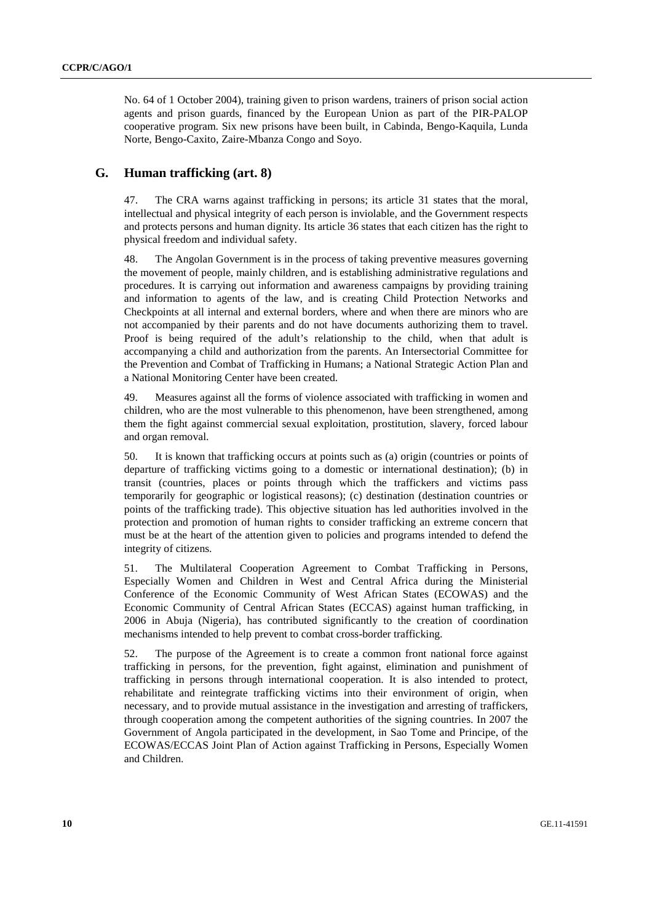No. 64 of 1 October 2004), training given to prison wardens, trainers of prison social action agents and prison guards, financed by the European Union as part of the PIR-PALOP cooperative program. Six new prisons have been built, in Cabinda, Bengo-Kaquila, Lunda Norte, Bengo-Caxito, Zaire-Mbanza Congo and Soyo.

## **G. Human trafficking (art. 8)**

47. The CRA warns against trafficking in persons; its article 31 states that the moral, intellectual and physical integrity of each person is inviolable, and the Government respects and protects persons and human dignity. Its article 36 states that each citizen has the right to physical freedom and individual safety.

48. The Angolan Government is in the process of taking preventive measures governing the movement of people, mainly children, and is establishing administrative regulations and procedures. It is carrying out information and awareness campaigns by providing training and information to agents of the law, and is creating Child Protection Networks and Checkpoints at all internal and external borders, where and when there are minors who are not accompanied by their parents and do not have documents authorizing them to travel. Proof is being required of the adult's relationship to the child, when that adult is accompanying a child and authorization from the parents. An Intersectorial Committee for the Prevention and Combat of Trafficking in Humans; a National Strategic Action Plan and a National Monitoring Center have been created.

49. Measures against all the forms of violence associated with trafficking in women and children, who are the most vulnerable to this phenomenon, have been strengthened, among them the fight against commercial sexual exploitation, prostitution, slavery, forced labour and organ removal.

50. It is known that trafficking occurs at points such as (a) origin (countries or points of departure of trafficking victims going to a domestic or international destination); (b) in transit (countries, places or points through which the traffickers and victims pass temporarily for geographic or logistical reasons); (c) destination (destination countries or points of the trafficking trade). This objective situation has led authorities involved in the protection and promotion of human rights to consider trafficking an extreme concern that must be at the heart of the attention given to policies and programs intended to defend the integrity of citizens.

51. The Multilateral Cooperation Agreement to Combat Trafficking in Persons, Especially Women and Children in West and Central Africa during the Ministerial Conference of the Economic Community of West African States (ECOWAS) and the Economic Community of Central African States (ECCAS) against human trafficking, in 2006 in Abuja (Nigeria), has contributed significantly to the creation of coordination mechanisms intended to help prevent to combat cross-border trafficking.

52. The purpose of the Agreement is to create a common front national force against trafficking in persons, for the prevention, fight against, elimination and punishment of trafficking in persons through international cooperation. It is also intended to protect, rehabilitate and reintegrate trafficking victims into their environment of origin, when necessary, and to provide mutual assistance in the investigation and arresting of traffickers, through cooperation among the competent authorities of the signing countries. In 2007 the Government of Angola participated in the development, in Sao Tome and Principe, of the ECOWAS/ECCAS Joint Plan of Action against Trafficking in Persons, Especially Women and Children.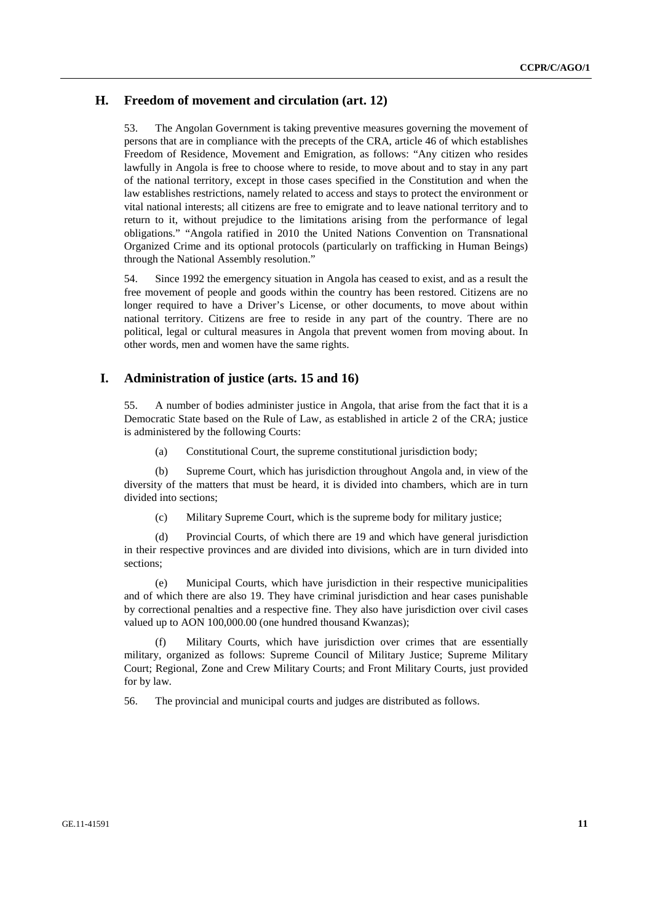## **H. Freedom of movement and circulation (art. 12)**

53. The Angolan Government is taking preventive measures governing the movement of persons that are in compliance with the precepts of the CRA, article 46 of which establishes Freedom of Residence, Movement and Emigration, as follows: "Any citizen who resides lawfully in Angola is free to choose where to reside, to move about and to stay in any part of the national territory, except in those cases specified in the Constitution and when the law establishes restrictions, namely related to access and stays to protect the environment or vital national interests; all citizens are free to emigrate and to leave national territory and to return to it, without prejudice to the limitations arising from the performance of legal obligations." "Angola ratified in 2010 the United Nations Convention on Transnational Organized Crime and its optional protocols (particularly on trafficking in Human Beings) through the National Assembly resolution."

54. Since 1992 the emergency situation in Angola has ceased to exist, and as a result the free movement of people and goods within the country has been restored. Citizens are no longer required to have a Driver's License, or other documents, to move about within national territory. Citizens are free to reside in any part of the country. There are no political, legal or cultural measures in Angola that prevent women from moving about. In other words, men and women have the same rights.

## **I. Administration of justice (arts. 15 and 16)**

55. A number of bodies administer justice in Angola, that arise from the fact that it is a Democratic State based on the Rule of Law, as established in article 2 of the CRA; justice is administered by the following Courts:

(a) Constitutional Court, the supreme constitutional jurisdiction body;

 (b) Supreme Court, which has jurisdiction throughout Angola and, in view of the diversity of the matters that must be heard, it is divided into chambers, which are in turn divided into sections;

(c) Military Supreme Court, which is the supreme body for military justice;

 (d) Provincial Courts, of which there are 19 and which have general jurisdiction in their respective provinces and are divided into divisions, which are in turn divided into sections;

 (e) Municipal Courts, which have jurisdiction in their respective municipalities and of which there are also 19. They have criminal jurisdiction and hear cases punishable by correctional penalties and a respective fine. They also have jurisdiction over civil cases valued up to AON 100,000.00 (one hundred thousand Kwanzas);

 (f) Military Courts, which have jurisdiction over crimes that are essentially military, organized as follows: Supreme Council of Military Justice; Supreme Military Court; Regional, Zone and Crew Military Courts; and Front Military Courts, just provided for by law.

56. The provincial and municipal courts and judges are distributed as follows.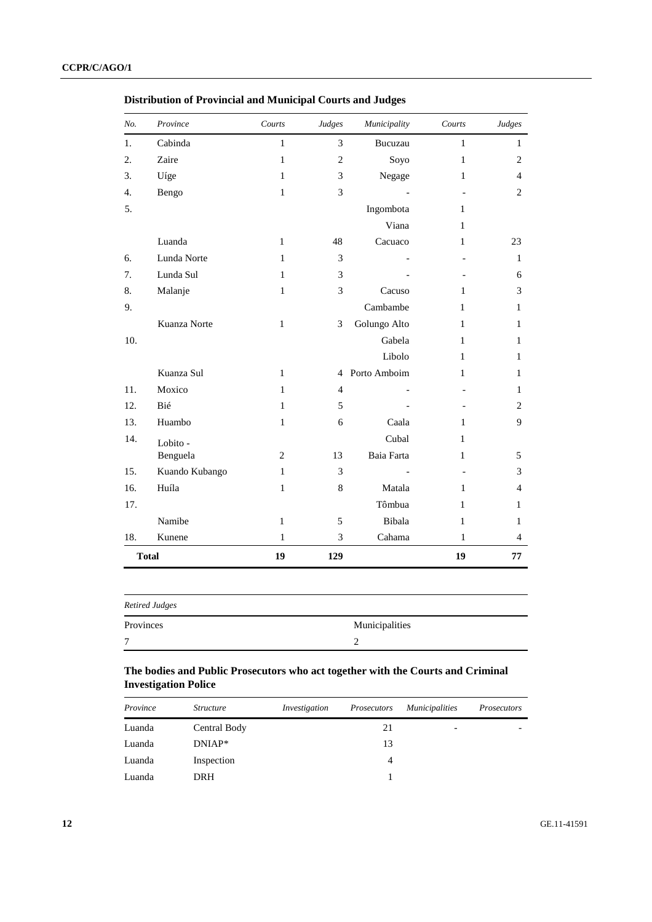| No.          | Province       | Courts       | Judges         | Municipality | Courts       | Judges         |
|--------------|----------------|--------------|----------------|--------------|--------------|----------------|
| 1.           | Cabinda        | $\mathbf{1}$ | 3              | Bucuzau      | $\mathbf{1}$ | $\mathbf{1}$   |
| 2.           | Zaire          | 1            | $\overline{c}$ | Soyo         | $\mathbf{1}$ | $\overline{c}$ |
| 3.           | Uíge           | $\mathbf{1}$ | 3              | Negage       | 1            | 4              |
| 4.           | Bengo          | $\mathbf{1}$ | 3              |              |              | $\overline{c}$ |
| 5.           |                |              |                | Ingombota    | 1            |                |
|              |                |              |                | Viana        | 1            |                |
|              | Luanda         | $\mathbf{1}$ | 48             | Cacuaco      | $\mathbf{1}$ | 23             |
| 6.           | Lunda Norte    | $\mathbf{1}$ | 3              |              |              | $\mathbf{1}$   |
| 7.           | Lunda Sul      | $\mathbf{1}$ | 3              |              |              | 6              |
| 8.           | Malanje        | $\mathbf{1}$ | 3              | Cacuso       | 1            | 3              |
| 9.           |                |              |                | Cambambe     | 1            | $\mathbf{1}$   |
|              | Kuanza Norte   | $\mathbf{1}$ | 3              | Golungo Alto | 1            | 1              |
| 10.          |                |              |                | Gabela       | 1            | 1              |
|              |                |              |                | Libolo       | $\mathbf{1}$ | 1              |
|              | Kuanza Sul     | $\mathbf{1}$ | $\overline{4}$ | Porto Amboim | 1            | $\mathbf{1}$   |
| 11.          | Moxico         | $\mathbf{1}$ | $\overline{4}$ |              |              | 1              |
| 12.          | Bié            | $\mathbf{1}$ | 5              |              |              | $\overline{2}$ |
| 13.          | Huambo         | $\mathbf{1}$ | 6              | Caala        | 1            | 9              |
| 14.          | Lobito -       |              |                | Cubal        | $\mathbf{1}$ |                |
|              | Benguela       | 2            | 13             | Baia Farta   | 1            | 5              |
| 15.          | Kuando Kubango | $\mathbf{1}$ | 3              |              |              | 3              |
| 16.          | Huíla          | $\mathbf{1}$ | $\,$ 8 $\,$    | Matala       | 1            | $\overline{4}$ |
| 17.          |                |              |                | Tômbua       | 1            | 1              |
|              | Namibe         | 1            | 5              | Bibala       | 1            | 1              |
| 18.          | Kunene         | $\mathbf{1}$ | 3              | Cahama       | $\mathbf{1}$ | $\overline{4}$ |
| <b>Total</b> |                | 19           | 129            |              | 19           | 77             |

 **Distribution of Provincial and Municipal Courts and Judges** 

| <b>Retired Judges</b> |                |
|-----------------------|----------------|
| Provinces             | Municipalities |
| $\mathbf{r}$          |                |

## **The bodies and Public Prosecutors who act together with the Courts and Criminal Investigation Police**

| Province | <i>Structure</i> | Investigation | Prosecutors | <i>Municipalities</i>    | <b>Prosecutors</b> |
|----------|------------------|---------------|-------------|--------------------------|--------------------|
| Luanda   | Central Body     |               | 21          | $\overline{\phantom{0}}$ |                    |
| Luanda   | $DNIAP*$         |               | 13          |                          |                    |
| Luanda   | Inspection       |               | 4           |                          |                    |
| Luanda   | <b>DRH</b>       |               |             |                          |                    |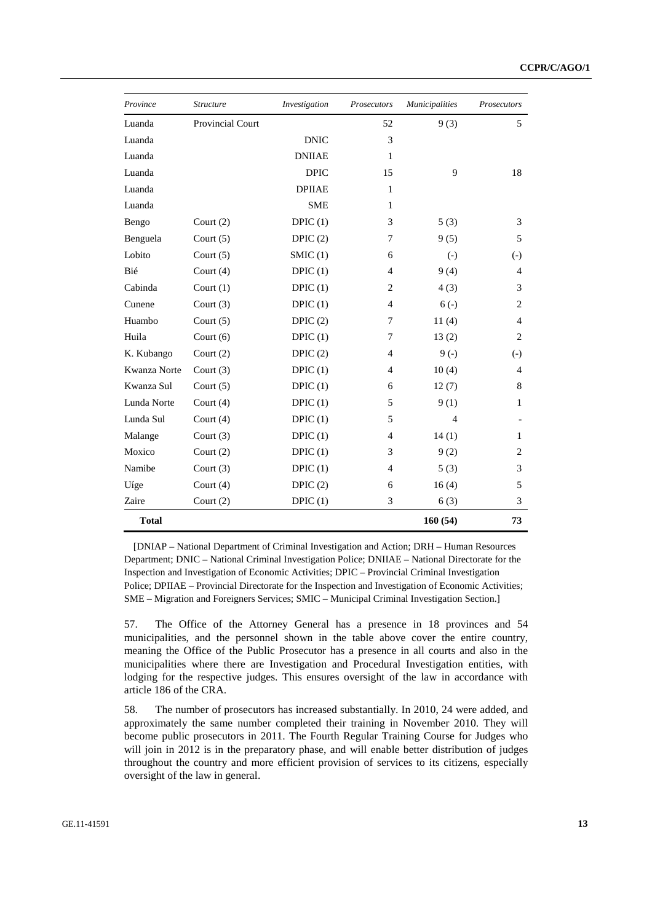| Province     | <i>Structure</i>        | Investigation | Prosecutors    | <b>Municipalities</b> | <b>Prosecutors</b> |
|--------------|-------------------------|---------------|----------------|-----------------------|--------------------|
| Luanda       | <b>Provincial Court</b> |               | 52             | 9(3)                  | 5                  |
| Luanda       |                         | <b>DNIC</b>   | 3              |                       |                    |
| Luanda       |                         | <b>DNIIAE</b> | 1              |                       |                    |
| Luanda       |                         | <b>DPIC</b>   | 15             | 9                     | 18                 |
| Luanda       |                         | <b>DPIIAE</b> | 1              |                       |                    |
| Luanda       |                         | <b>SME</b>    | $\mathbf{1}$   |                       |                    |
| Bengo        | Court $(2)$             | DPIC $(1)$    | 3              | 5(3)                  | 3                  |
| Benguela     | Court $(5)$             | DPIC $(2)$    | 7              | 9(5)                  | 5                  |
| Lobito       | Court $(5)$             | SMIC(1)       | 6              | $\left( -\right)$     | $(-)$              |
| Bié          | Court $(4)$             | DPIC $(1)$    | 4              | 9(4)                  | $\overline{4}$     |
| Cabinda      | Court $(1)$             | DPIC $(1)$    | $\overline{c}$ | 4(3)                  | 3                  |
| Cunene       | Court $(3)$             | DPIC $(1)$    | $\overline{4}$ | $6(-)$                | $\overline{c}$     |
| Huambo       | Court $(5)$             | DPIC $(2)$    | 7              | 11(4)                 | $\overline{4}$     |
| Huila        | Court $(6)$             | DPIC $(1)$    | 7              | 13(2)                 | $\overline{c}$     |
| K. Kubango   | Court $(2)$             | DPIC $(2)$    | 4              | $9(-)$                | $\left( -\right)$  |
| Kwanza Norte | Court $(3)$             | DPIC $(1)$    | 4              | 10(4)                 | 4                  |
| Kwanza Sul   | Court $(5)$             | DPIC $(1)$    | 6              | 12(7)                 | 8                  |
| Lunda Norte  | Court $(4)$             | DPIC(1)       | 5              | 9(1)                  | $\mathbf{1}$       |
| Lunda Sul    | Court $(4)$             | DPIC(1)       | 5              | 4                     |                    |
| Malange      | Court $(3)$             | DPIC(1)       | $\overline{4}$ | 14(1)                 | 1                  |
| Moxico       | Court $(2)$             | DPIC(1)       | 3              | 9(2)                  | $\overline{c}$     |
| Namibe       | Court $(3)$             | DPIC $(1)$    | $\overline{4}$ | 5(3)                  | 3                  |
| Uíge         | Court $(4)$             | DPIC $(2)$    | 6              | 16(4)                 | 5                  |
| Zaire        | Court $(2)$             | DPIC(1)       | 3              | 6(3)                  | 3                  |
| <b>Total</b> |                         |               |                | 160(54)               | 73                 |

[DNIAP – National Department of Criminal Investigation and Action; DRH – Human Resources Department; DNIC – National Criminal Investigation Police; DNIIAE – National Directorate for the Inspection and Investigation of Economic Activities; DPIC – Provincial Criminal Investigation Police; DPIIAE – Provincial Directorate for the Inspection and Investigation of Economic Activities; SME – Migration and Foreigners Services; SMIC – Municipal Criminal Investigation Section.]

57. The Office of the Attorney General has a presence in 18 provinces and 54 municipalities, and the personnel shown in the table above cover the entire country, meaning the Office of the Public Prosecutor has a presence in all courts and also in the municipalities where there are Investigation and Procedural Investigation entities, with lodging for the respective judges. This ensures oversight of the law in accordance with article 186 of the CRA.

58. The number of prosecutors has increased substantially. In 2010, 24 were added, and approximately the same number completed their training in November 2010. They will become public prosecutors in 2011. The Fourth Regular Training Course for Judges who will join in 2012 is in the preparatory phase, and will enable better distribution of judges throughout the country and more efficient provision of services to its citizens, especially oversight of the law in general.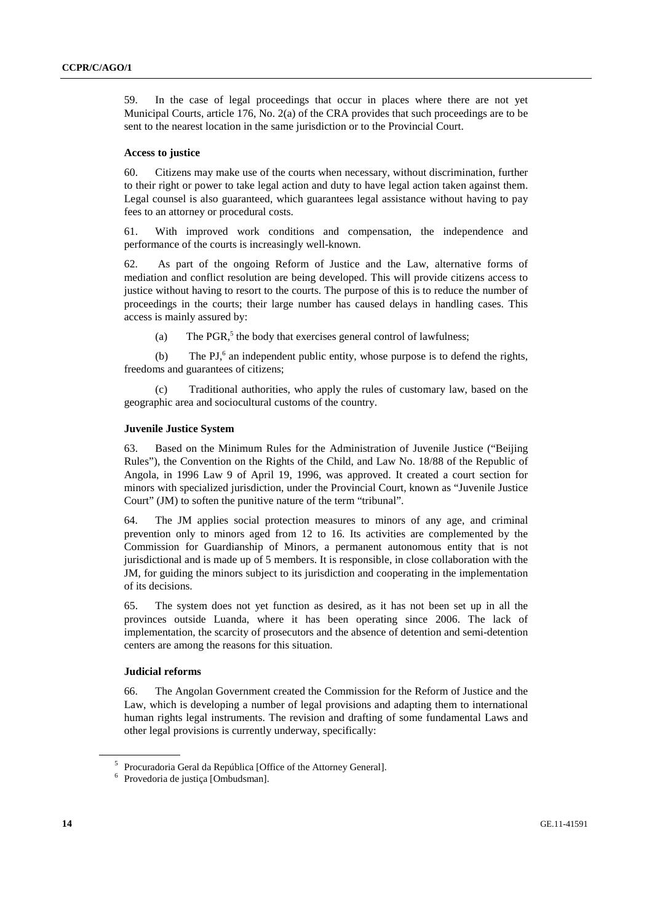59. In the case of legal proceedings that occur in places where there are not yet Municipal Courts, article 176, No. 2(a) of the CRA provides that such proceedings are to be sent to the nearest location in the same jurisdiction or to the Provincial Court.

#### **Access to justice**

60. Citizens may make use of the courts when necessary, without discrimination, further to their right or power to take legal action and duty to have legal action taken against them. Legal counsel is also guaranteed, which guarantees legal assistance without having to pay fees to an attorney or procedural costs.

61. With improved work conditions and compensation, the independence and performance of the courts is increasingly well-known.

62. As part of the ongoing Reform of Justice and the Law, alternative forms of mediation and conflict resolution are being developed. This will provide citizens access to justice without having to resort to the courts. The purpose of this is to reduce the number of proceedings in the courts; their large number has caused delays in handling cases. This access is mainly assured by:

(a) The PGR,<sup>5</sup> the body that exercises general control of lawfulness;

(b) The PJ $<sup>6</sup>$  an independent public entity, whose purpose is to defend the rights,</sup> freedoms and guarantees of citizens;

 (c) Traditional authorities, who apply the rules of customary law, based on the geographic area and sociocultural customs of the country.

#### **Juvenile Justice System**

63. Based on the Minimum Rules for the Administration of Juvenile Justice ("Beijing Rules"), the Convention on the Rights of the Child, and Law No. 18/88 of the Republic of Angola, in 1996 Law 9 of April 19, 1996, was approved. It created a court section for minors with specialized jurisdiction, under the Provincial Court, known as "Juvenile Justice Court" (JM) to soften the punitive nature of the term "tribunal".

64. The JM applies social protection measures to minors of any age, and criminal prevention only to minors aged from 12 to 16. Its activities are complemented by the Commission for Guardianship of Minors, a permanent autonomous entity that is not jurisdictional and is made up of 5 members. It is responsible, in close collaboration with the JM, for guiding the minors subject to its jurisdiction and cooperating in the implementation of its decisions.

65. The system does not yet function as desired, as it has not been set up in all the provinces outside Luanda, where it has been operating since 2006. The lack of implementation, the scarcity of prosecutors and the absence of detention and semi-detention centers are among the reasons for this situation.

#### **Judicial reforms**

66. The Angolan Government created the Commission for the Reform of Justice and the Law, which is developing a number of legal provisions and adapting them to international human rights legal instruments. The revision and drafting of some fundamental Laws and other legal provisions is currently underway, specifically:

<sup>&</sup>lt;sup>5</sup> Procuradoria Geral da República [Office of the Attorney General].

<sup>6</sup> Provedoria de justiça [Ombudsman].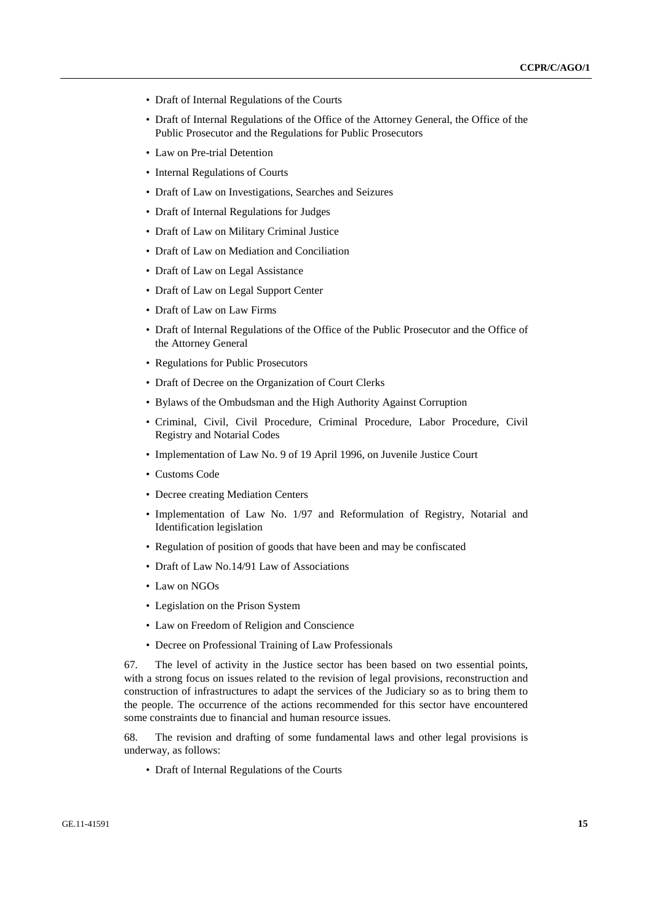- Draft of Internal Regulations of the Courts
- Draft of Internal Regulations of the Office of the Attorney General, the Office of the Public Prosecutor and the Regulations for Public Prosecutors
- Law on Pre-trial Detention
- Internal Regulations of Courts
- Draft of Law on Investigations, Searches and Seizures
- Draft of Internal Regulations for Judges
- Draft of Law on Military Criminal Justice
- Draft of Law on Mediation and Conciliation
- Draft of Law on Legal Assistance
- Draft of Law on Legal Support Center
- Draft of Law on Law Firms
- Draft of Internal Regulations of the Office of the Public Prosecutor and the Office of the Attorney General
- Regulations for Public Prosecutors
- Draft of Decree on the Organization of Court Clerks
- Bylaws of the Ombudsman and the High Authority Against Corruption
- Criminal, Civil, Civil Procedure, Criminal Procedure, Labor Procedure, Civil Registry and Notarial Codes
- Implementation of Law No. 9 of 19 April 1996, on Juvenile Justice Court
- Customs Code
- Decree creating Mediation Centers
- Implementation of Law No. 1/97 and Reformulation of Registry, Notarial and Identification legislation
- Regulation of position of goods that have been and may be confiscated
- Draft of Law No. 14/91 Law of Associations
- Law on NGOs
- Legislation on the Prison System
- Law on Freedom of Religion and Conscience
- Decree on Professional Training of Law Professionals

67. The level of activity in the Justice sector has been based on two essential points, with a strong focus on issues related to the revision of legal provisions, reconstruction and construction of infrastructures to adapt the services of the Judiciary so as to bring them to the people. The occurrence of the actions recommended for this sector have encountered some constraints due to financial and human resource issues.

68. The revision and drafting of some fundamental laws and other legal provisions is underway, as follows:

• Draft of Internal Regulations of the Courts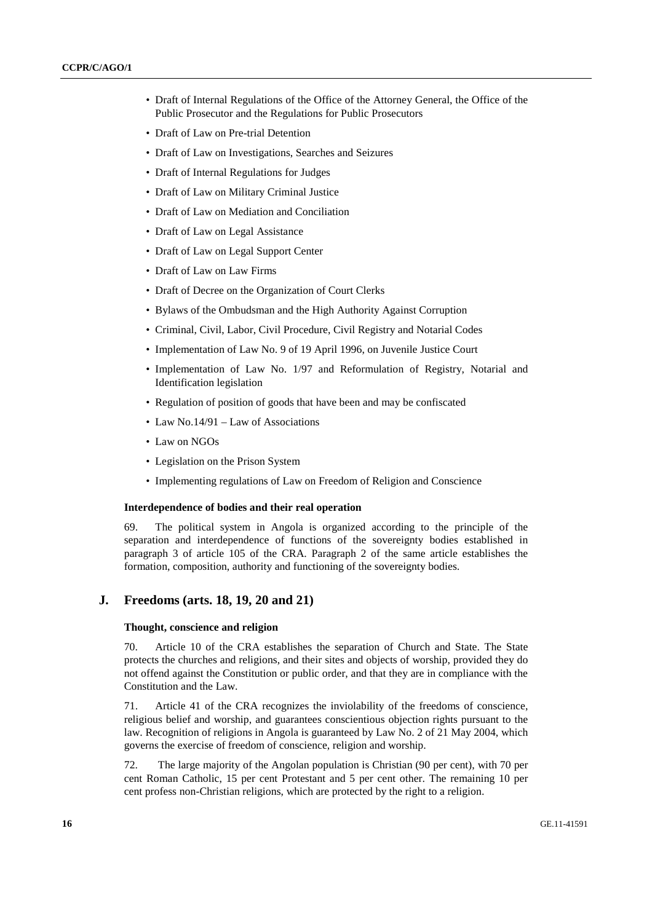- Draft of Internal Regulations of the Office of the Attorney General, the Office of the Public Prosecutor and the Regulations for Public Prosecutors
- Draft of Law on Pre-trial Detention
- Draft of Law on Investigations, Searches and Seizures
- Draft of Internal Regulations for Judges
- Draft of Law on Military Criminal Justice
- Draft of Law on Mediation and Conciliation
- Draft of Law on Legal Assistance
- Draft of Law on Legal Support Center
- Draft of Law on Law Firms
- Draft of Decree on the Organization of Court Clerks
- Bylaws of the Ombudsman and the High Authority Against Corruption
- Criminal, Civil, Labor, Civil Procedure, Civil Registry and Notarial Codes
- Implementation of Law No. 9 of 19 April 1996, on Juvenile Justice Court
- Implementation of Law No. 1/97 and Reformulation of Registry, Notarial and Identification legislation
- Regulation of position of goods that have been and may be confiscated
- Law No.14/91 Law of Associations
- Law on NGOs
- Legislation on the Prison System
- Implementing regulations of Law on Freedom of Religion and Conscience

#### **Interdependence of bodies and their real operation**

69. The political system in Angola is organized according to the principle of the separation and interdependence of functions of the sovereignty bodies established in paragraph 3 of article 105 of the CRA. Paragraph 2 of the same article establishes the formation, composition, authority and functioning of the sovereignty bodies.

#### **J. Freedoms (arts. 18, 19, 20 and 21)**

#### **Thought, conscience and religion**

70. Article 10 of the CRA establishes the separation of Church and State. The State protects the churches and religions, and their sites and objects of worship, provided they do not offend against the Constitution or public order, and that they are in compliance with the Constitution and the Law.

71. Article 41 of the CRA recognizes the inviolability of the freedoms of conscience, religious belief and worship, and guarantees conscientious objection rights pursuant to the law. Recognition of religions in Angola is guaranteed by Law No. 2 of 21 May 2004, which governs the exercise of freedom of conscience, religion and worship.

72. The large majority of the Angolan population is Christian (90 per cent), with 70 per cent Roman Catholic, 15 per cent Protestant and 5 per cent other. The remaining 10 per cent profess non-Christian religions, which are protected by the right to a religion.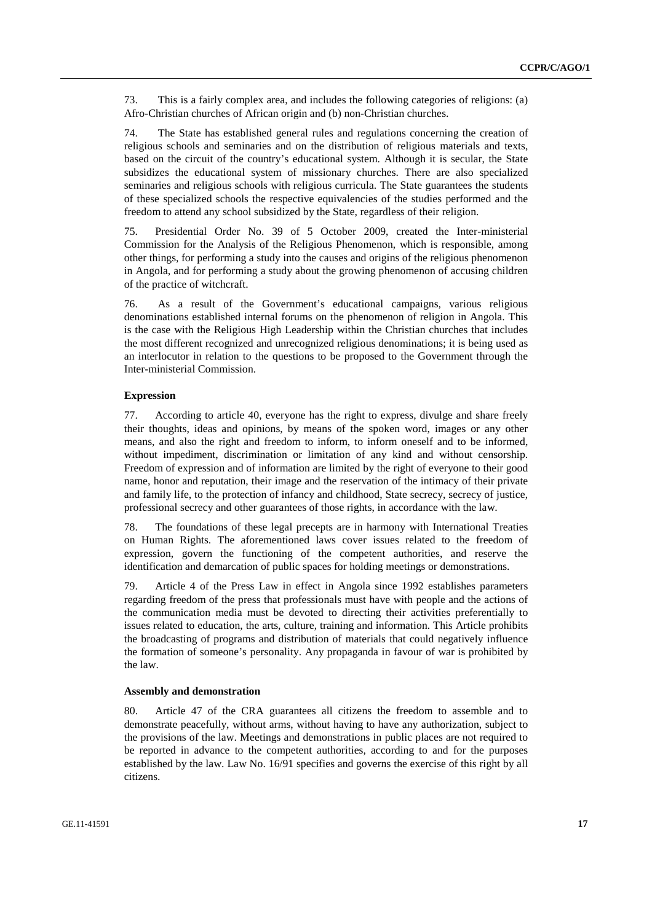73. This is a fairly complex area, and includes the following categories of religions: (a) Afro-Christian churches of African origin and (b) non-Christian churches.

74. The State has established general rules and regulations concerning the creation of religious schools and seminaries and on the distribution of religious materials and texts, based on the circuit of the country's educational system. Although it is secular, the State subsidizes the educational system of missionary churches. There are also specialized seminaries and religious schools with religious curricula. The State guarantees the students of these specialized schools the respective equivalencies of the studies performed and the freedom to attend any school subsidized by the State, regardless of their religion.

75. Presidential Order No. 39 of 5 October 2009, created the Inter-ministerial Commission for the Analysis of the Religious Phenomenon, which is responsible, among other things, for performing a study into the causes and origins of the religious phenomenon in Angola, and for performing a study about the growing phenomenon of accusing children of the practice of witchcraft.

76. As a result of the Government's educational campaigns, various religious denominations established internal forums on the phenomenon of religion in Angola. This is the case with the Religious High Leadership within the Christian churches that includes the most different recognized and unrecognized religious denominations; it is being used as an interlocutor in relation to the questions to be proposed to the Government through the Inter-ministerial Commission.

#### **Expression**

77. According to article 40, everyone has the right to express, divulge and share freely their thoughts, ideas and opinions, by means of the spoken word, images or any other means, and also the right and freedom to inform, to inform oneself and to be informed, without impediment, discrimination or limitation of any kind and without censorship. Freedom of expression and of information are limited by the right of everyone to their good name, honor and reputation, their image and the reservation of the intimacy of their private and family life, to the protection of infancy and childhood, State secrecy, secrecy of justice, professional secrecy and other guarantees of those rights, in accordance with the law.

78. The foundations of these legal precepts are in harmony with International Treaties on Human Rights. The aforementioned laws cover issues related to the freedom of expression, govern the functioning of the competent authorities, and reserve the identification and demarcation of public spaces for holding meetings or demonstrations.

79. Article 4 of the Press Law in effect in Angola since 1992 establishes parameters regarding freedom of the press that professionals must have with people and the actions of the communication media must be devoted to directing their activities preferentially to issues related to education, the arts, culture, training and information. This Article prohibits the broadcasting of programs and distribution of materials that could negatively influence the formation of someone's personality. Any propaganda in favour of war is prohibited by the law.

#### **Assembly and demonstration**

80. Article 47 of the CRA guarantees all citizens the freedom to assemble and to demonstrate peacefully, without arms, without having to have any authorization, subject to the provisions of the law. Meetings and demonstrations in public places are not required to be reported in advance to the competent authorities, according to and for the purposes established by the law. Law No. 16/91 specifies and governs the exercise of this right by all citizens.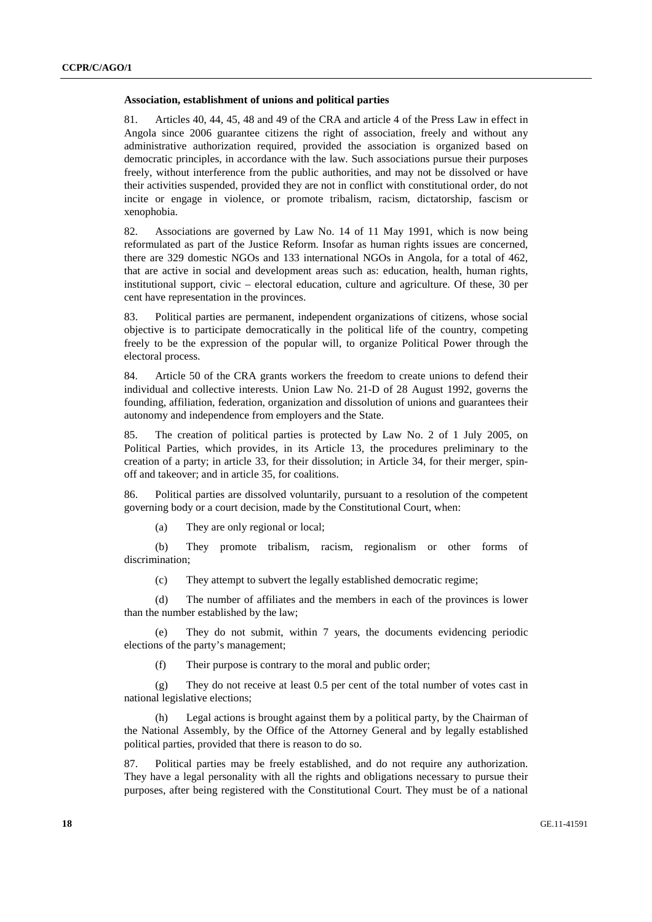#### **Association, establishment of unions and political parties**

81. Articles 40, 44, 45, 48 and 49 of the CRA and article 4 of the Press Law in effect in Angola since 2006 guarantee citizens the right of association, freely and without any administrative authorization required, provided the association is organized based on democratic principles, in accordance with the law. Such associations pursue their purposes freely, without interference from the public authorities, and may not be dissolved or have their activities suspended, provided they are not in conflict with constitutional order, do not incite or engage in violence, or promote tribalism, racism, dictatorship, fascism or xenophobia.

82. Associations are governed by Law No. 14 of 11 May 1991, which is now being reformulated as part of the Justice Reform. Insofar as human rights issues are concerned, there are 329 domestic NGOs and 133 international NGOs in Angola, for a total of 462, that are active in social and development areas such as: education, health, human rights, institutional support, civic – electoral education, culture and agriculture. Of these, 30 per cent have representation in the provinces.

83. Political parties are permanent, independent organizations of citizens, whose social objective is to participate democratically in the political life of the country, competing freely to be the expression of the popular will, to organize Political Power through the electoral process.

84. Article 50 of the CRA grants workers the freedom to create unions to defend their individual and collective interests. Union Law No. 21-D of 28 August 1992, governs the founding, affiliation, federation, organization and dissolution of unions and guarantees their autonomy and independence from employers and the State.

85. The creation of political parties is protected by Law No. 2 of 1 July 2005, on Political Parties, which provides, in its Article 13, the procedures preliminary to the creation of a party; in article 33, for their dissolution; in Article 34, for their merger, spinoff and takeover; and in article 35, for coalitions.

86. Political parties are dissolved voluntarily, pursuant to a resolution of the competent governing body or a court decision, made by the Constitutional Court, when:

(a) They are only regional or local;

 (b) They promote tribalism, racism, regionalism or other forms of discrimination;

(c) They attempt to subvert the legally established democratic regime;

 (d) The number of affiliates and the members in each of the provinces is lower than the number established by the law;

 (e) They do not submit, within 7 years, the documents evidencing periodic elections of the party's management;

(f) Their purpose is contrary to the moral and public order;

 (g) They do not receive at least 0.5 per cent of the total number of votes cast in national legislative elections;

 (h) Legal actions is brought against them by a political party, by the Chairman of the National Assembly, by the Office of the Attorney General and by legally established political parties, provided that there is reason to do so.

87. Political parties may be freely established, and do not require any authorization. They have a legal personality with all the rights and obligations necessary to pursue their purposes, after being registered with the Constitutional Court. They must be of a national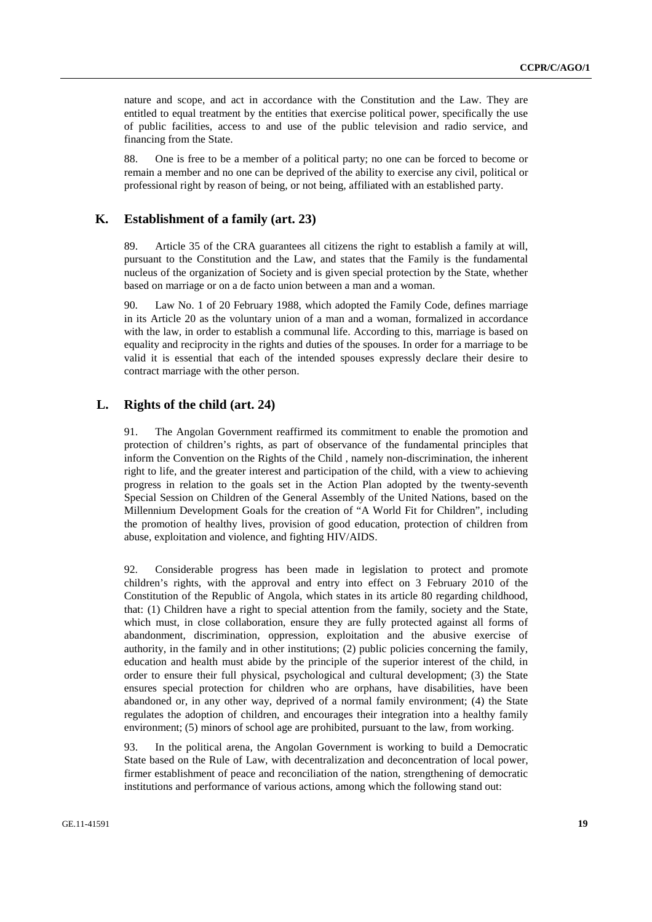nature and scope, and act in accordance with the Constitution and the Law. They are entitled to equal treatment by the entities that exercise political power, specifically the use of public facilities, access to and use of the public television and radio service, and financing from the State.

88. One is free to be a member of a political party; no one can be forced to become or remain a member and no one can be deprived of the ability to exercise any civil, political or professional right by reason of being, or not being, affiliated with an established party.

## **K. Establishment of a family (art. 23)**

89. Article 35 of the CRA guarantees all citizens the right to establish a family at will, pursuant to the Constitution and the Law, and states that the Family is the fundamental nucleus of the organization of Society and is given special protection by the State, whether based on marriage or on a de facto union between a man and a woman.

90. Law No. 1 of 20 February 1988, which adopted the Family Code, defines marriage in its Article 20 as the voluntary union of a man and a woman, formalized in accordance with the law, in order to establish a communal life. According to this, marriage is based on equality and reciprocity in the rights and duties of the spouses. In order for a marriage to be valid it is essential that each of the intended spouses expressly declare their desire to contract marriage with the other person.

## **L. Rights of the child (art. 24)**

91. The Angolan Government reaffirmed its commitment to enable the promotion and protection of children's rights, as part of observance of the fundamental principles that inform the Convention on the Rights of the Child , namely non-discrimination, the inherent right to life, and the greater interest and participation of the child, with a view to achieving progress in relation to the goals set in the Action Plan adopted by the twenty-seventh Special Session on Children of the General Assembly of the United Nations, based on the Millennium Development Goals for the creation of "A World Fit for Children", including the promotion of healthy lives, provision of good education, protection of children from abuse, exploitation and violence, and fighting HIV/AIDS.

92. Considerable progress has been made in legislation to protect and promote children's rights, with the approval and entry into effect on 3 February 2010 of the Constitution of the Republic of Angola, which states in its article 80 regarding childhood, that: (1) Children have a right to special attention from the family, society and the State, which must, in close collaboration, ensure they are fully protected against all forms of abandonment, discrimination, oppression, exploitation and the abusive exercise of authority, in the family and in other institutions; (2) public policies concerning the family, education and health must abide by the principle of the superior interest of the child, in order to ensure their full physical, psychological and cultural development; (3) the State ensures special protection for children who are orphans, have disabilities, have been abandoned or, in any other way, deprived of a normal family environment; (4) the State regulates the adoption of children, and encourages their integration into a healthy family environment; (5) minors of school age are prohibited, pursuant to the law, from working.

93. In the political arena, the Angolan Government is working to build a Democratic State based on the Rule of Law, with decentralization and deconcentration of local power, firmer establishment of peace and reconciliation of the nation, strengthening of democratic institutions and performance of various actions, among which the following stand out: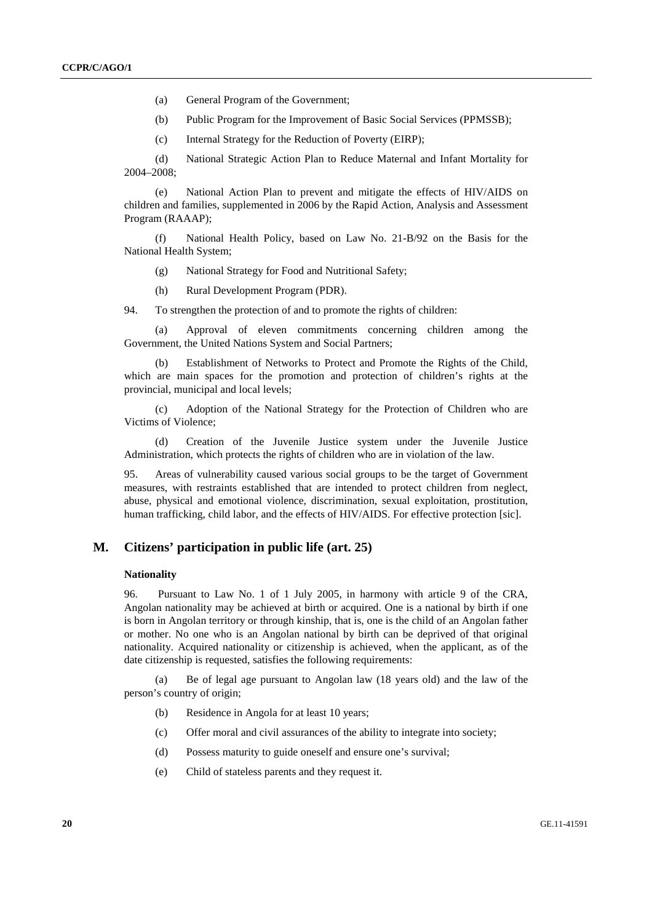- (a) General Program of the Government;
- (b) Public Program for the Improvement of Basic Social Services (PPMSSB);
- (c) Internal Strategy for the Reduction of Poverty (EIRP);

 (d) National Strategic Action Plan to Reduce Maternal and Infant Mortality for 2004–2008;

 (e) National Action Plan to prevent and mitigate the effects of HIV/AIDS on children and families, supplemented in 2006 by the Rapid Action, Analysis and Assessment Program (RAAAP);

 (f) National Health Policy, based on Law No. 21-B/92 on the Basis for the National Health System;

- (g) National Strategy for Food and Nutritional Safety;
- (h) Rural Development Program (PDR).

94. To strengthen the protection of and to promote the rights of children:

 (a) Approval of eleven commitments concerning children among the Government, the United Nations System and Social Partners;

 (b) Establishment of Networks to Protect and Promote the Rights of the Child, which are main spaces for the promotion and protection of children's rights at the provincial, municipal and local levels;

 (c) Adoption of the National Strategy for the Protection of Children who are Victims of Violence;

 (d) Creation of the Juvenile Justice system under the Juvenile Justice Administration, which protects the rights of children who are in violation of the law.

95. Areas of vulnerability caused various social groups to be the target of Government measures, with restraints established that are intended to protect children from neglect, abuse, physical and emotional violence, discrimination, sexual exploitation, prostitution, human trafficking, child labor, and the effects of HIV/AIDS. For effective protection [sic].

## **M. Citizens' participation in public life (art. 25)**

#### **Nationality**

96. Pursuant to Law No. 1 of 1 July 2005, in harmony with article 9 of the CRA, Angolan nationality may be achieved at birth or acquired. One is a national by birth if one is born in Angolan territory or through kinship, that is, one is the child of an Angolan father or mother. No one who is an Angolan national by birth can be deprived of that original nationality. Acquired nationality or citizenship is achieved, when the applicant, as of the date citizenship is requested, satisfies the following requirements:

 (a) Be of legal age pursuant to Angolan law (18 years old) and the law of the person's country of origin;

- (b) Residence in Angola for at least 10 years;
- (c) Offer moral and civil assurances of the ability to integrate into society;
- (d) Possess maturity to guide oneself and ensure one's survival;
- (e) Child of stateless parents and they request it.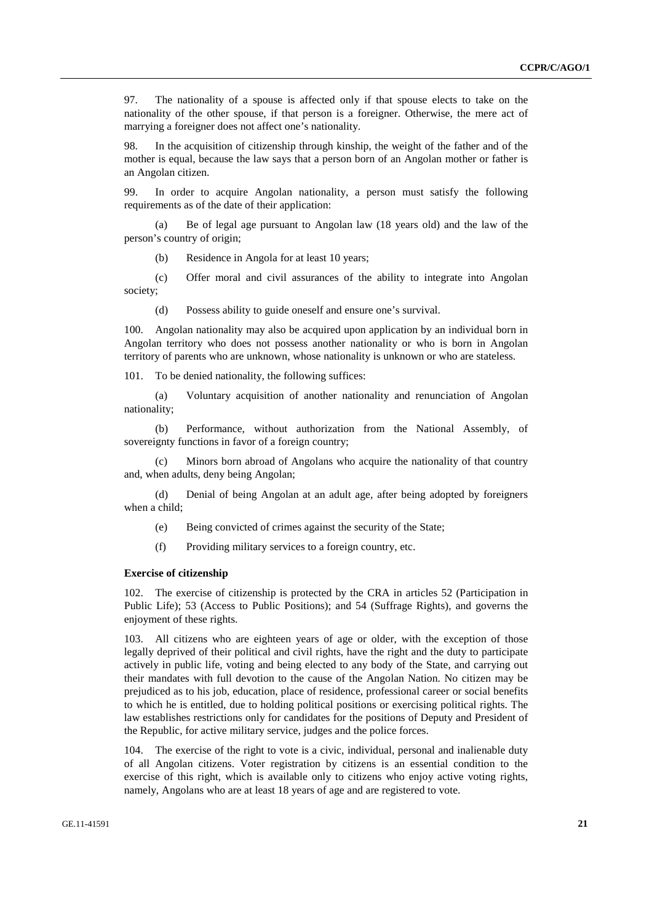97. The nationality of a spouse is affected only if that spouse elects to take on the nationality of the other spouse, if that person is a foreigner. Otherwise, the mere act of marrying a foreigner does not affect one's nationality.

98. In the acquisition of citizenship through kinship, the weight of the father and of the mother is equal, because the law says that a person born of an Angolan mother or father is an Angolan citizen.

99. In order to acquire Angolan nationality, a person must satisfy the following requirements as of the date of their application:

 (a) Be of legal age pursuant to Angolan law (18 years old) and the law of the person's country of origin;

(b) Residence in Angola for at least 10 years;

 (c) Offer moral and civil assurances of the ability to integrate into Angolan society;

(d) Possess ability to guide oneself and ensure one's survival.

100. Angolan nationality may also be acquired upon application by an individual born in Angolan territory who does not possess another nationality or who is born in Angolan territory of parents who are unknown, whose nationality is unknown or who are stateless.

101. To be denied nationality, the following suffices:

 (a) Voluntary acquisition of another nationality and renunciation of Angolan nationality;

 (b) Performance, without authorization from the National Assembly, of sovereignty functions in favor of a foreign country;

 (c) Minors born abroad of Angolans who acquire the nationality of that country and, when adults, deny being Angolan;

 (d) Denial of being Angolan at an adult age, after being adopted by foreigners when a child;

(e) Being convicted of crimes against the security of the State;

(f) Providing military services to a foreign country, etc.

#### **Exercise of citizenship**

102. The exercise of citizenship is protected by the CRA in articles 52 (Participation in Public Life); 53 (Access to Public Positions); and 54 (Suffrage Rights), and governs the enjoyment of these rights.

103. All citizens who are eighteen years of age or older, with the exception of those legally deprived of their political and civil rights, have the right and the duty to participate actively in public life, voting and being elected to any body of the State, and carrying out their mandates with full devotion to the cause of the Angolan Nation. No citizen may be prejudiced as to his job, education, place of residence, professional career or social benefits to which he is entitled, due to holding political positions or exercising political rights. The law establishes restrictions only for candidates for the positions of Deputy and President of the Republic, for active military service, judges and the police forces.

104. The exercise of the right to vote is a civic, individual, personal and inalienable duty of all Angolan citizens. Voter registration by citizens is an essential condition to the exercise of this right, which is available only to citizens who enjoy active voting rights, namely, Angolans who are at least 18 years of age and are registered to vote.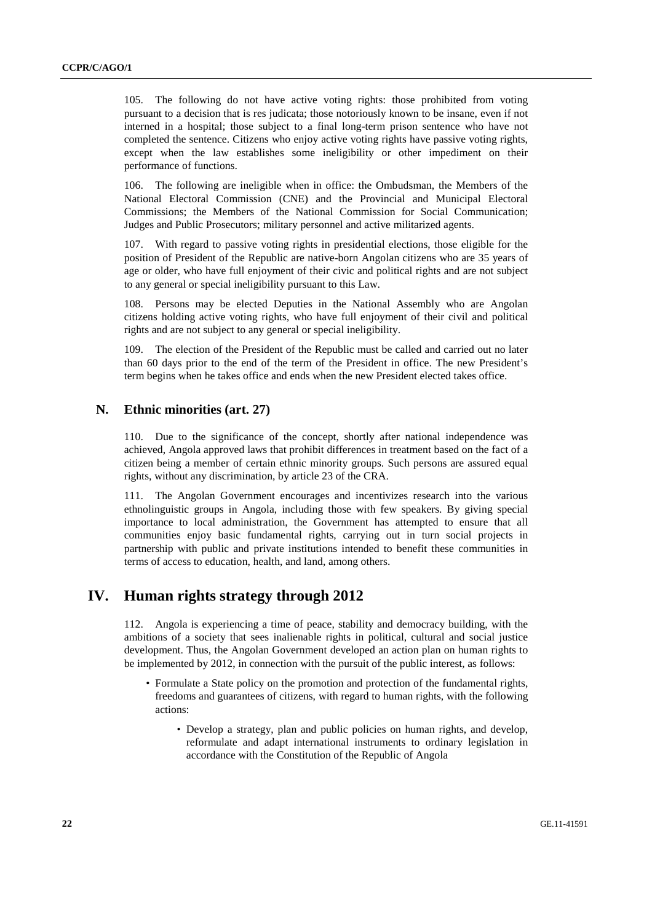105. The following do not have active voting rights: those prohibited from voting pursuant to a decision that is res judicata; those notoriously known to be insane, even if not interned in a hospital; those subject to a final long-term prison sentence who have not completed the sentence. Citizens who enjoy active voting rights have passive voting rights, except when the law establishes some ineligibility or other impediment on their performance of functions.

106. The following are ineligible when in office: the Ombudsman, the Members of the National Electoral Commission (CNE) and the Provincial and Municipal Electoral Commissions; the Members of the National Commission for Social Communication; Judges and Public Prosecutors; military personnel and active militarized agents.

107. With regard to passive voting rights in presidential elections, those eligible for the position of President of the Republic are native-born Angolan citizens who are 35 years of age or older, who have full enjoyment of their civic and political rights and are not subject to any general or special ineligibility pursuant to this Law.

108. Persons may be elected Deputies in the National Assembly who are Angolan citizens holding active voting rights, who have full enjoyment of their civil and political rights and are not subject to any general or special ineligibility.

109. The election of the President of the Republic must be called and carried out no later than 60 days prior to the end of the term of the President in office. The new President's term begins when he takes office and ends when the new President elected takes office.

## **N. Ethnic minorities (art. 27)**

110. Due to the significance of the concept, shortly after national independence was achieved, Angola approved laws that prohibit differences in treatment based on the fact of a citizen being a member of certain ethnic minority groups. Such persons are assured equal rights, without any discrimination, by article 23 of the CRA.

111. The Angolan Government encourages and incentivizes research into the various ethnolinguistic groups in Angola, including those with few speakers. By giving special importance to local administration, the Government has attempted to ensure that all communities enjoy basic fundamental rights, carrying out in turn social projects in partnership with public and private institutions intended to benefit these communities in terms of access to education, health, and land, among others.

# **IV. Human rights strategy through 2012**

112. Angola is experiencing a time of peace, stability and democracy building, with the ambitions of a society that sees inalienable rights in political, cultural and social justice development. Thus, the Angolan Government developed an action plan on human rights to be implemented by 2012, in connection with the pursuit of the public interest, as follows:

- Formulate a State policy on the promotion and protection of the fundamental rights, freedoms and guarantees of citizens, with regard to human rights, with the following actions:
	- Develop a strategy, plan and public policies on human rights, and develop, reformulate and adapt international instruments to ordinary legislation in accordance with the Constitution of the Republic of Angola